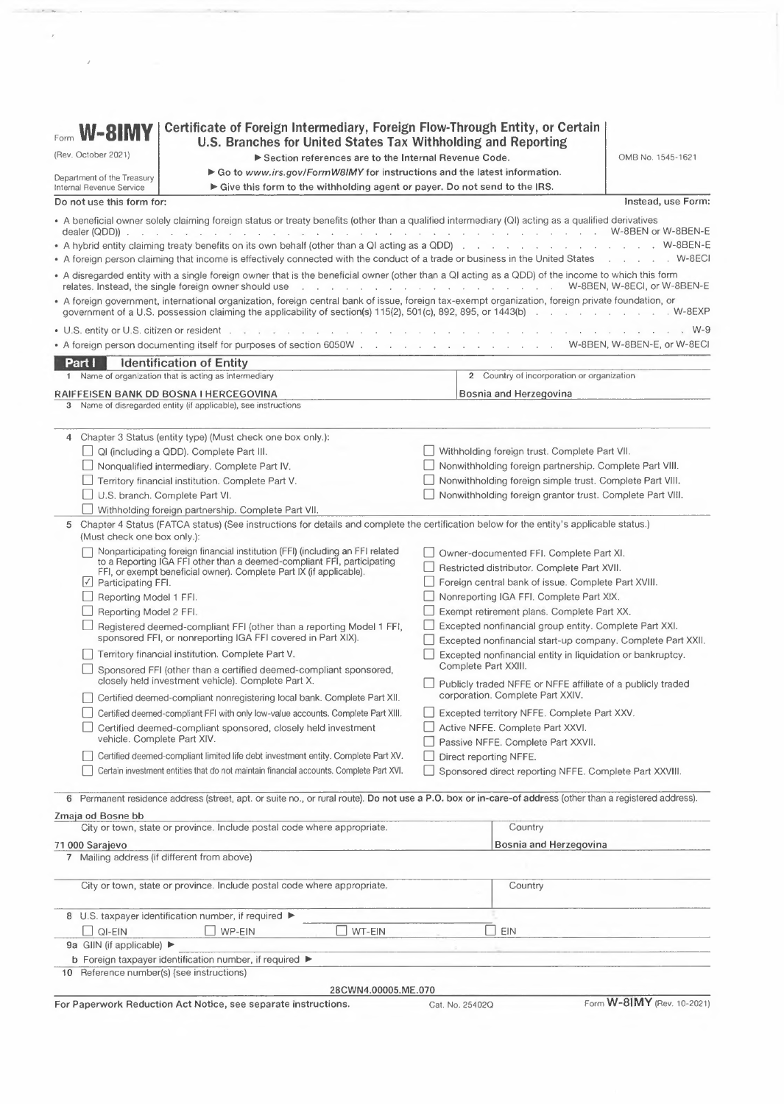| W-8IMY                                                 | Certificate of Foreign Intermediary, Foreign Flow-Through Entity, or Certain                                                                                                                                                                                                                                                                                                         |                                                      |                                                                                                                       |                                   |
|--------------------------------------------------------|--------------------------------------------------------------------------------------------------------------------------------------------------------------------------------------------------------------------------------------------------------------------------------------------------------------------------------------------------------------------------------------|------------------------------------------------------|-----------------------------------------------------------------------------------------------------------------------|-----------------------------------|
| Form                                                   | U.S. Branches for United States Tax Withholding and Reporting                                                                                                                                                                                                                                                                                                                        |                                                      |                                                                                                                       |                                   |
| (Rev. October 2021)                                    |                                                                                                                                                                                                                                                                                                                                                                                      | Section references are to the Internal Revenue Code. |                                                                                                                       | OMB No. 1545-1621                 |
| Department of the Treasury<br>Internal Revenue Service | Go to www.irs.gov/FormW8IMY for instructions and the latest information.<br>Give this form to the withholding agent or payer. Do not send to the IRS.                                                                                                                                                                                                                                |                                                      |                                                                                                                       |                                   |
| Do not use this form for:                              |                                                                                                                                                                                                                                                                                                                                                                                      |                                                      |                                                                                                                       | Instead, use Form:                |
|                                                        | • A beneficial owner solely claiming foreign status or treaty benefits (other than a qualified intermediary (QI) acting as a qualified derivatives                                                                                                                                                                                                                                   |                                                      |                                                                                                                       |                                   |
|                                                        | • A foreign person claiming that income is effectively connected with the conduct of a trade or business in the United States W-8ECI                                                                                                                                                                                                                                                 |                                                      |                                                                                                                       |                                   |
|                                                        | • A disregarded entity with a single foreign owner that is the beneficial owner (other than a QI acting as a QDD) of the income to which this form<br>relates. Instead, the single foreign owner should use readed by the content of the content of the content of the content of the content of the content of the content of the content of the content of the content of the cont |                                                      |                                                                                                                       |                                   |
|                                                        | · A foreign government, international organization, foreign central bank of issue, foreign tax-exempt organization, foreign private foundation, or                                                                                                                                                                                                                                   |                                                      |                                                                                                                       |                                   |
|                                                        |                                                                                                                                                                                                                                                                                                                                                                                      |                                                      |                                                                                                                       | . W-9                             |
|                                                        | • A foreign person documenting itself for purposes of section 6050W W-8BEN, W-8BEN-E, or W-8ECI                                                                                                                                                                                                                                                                                      |                                                      |                                                                                                                       |                                   |
| Part i                                                 | <b>Identification of Entity</b>                                                                                                                                                                                                                                                                                                                                                      |                                                      |                                                                                                                       |                                   |
|                                                        | 1 Name of organization that is acting as intermediary                                                                                                                                                                                                                                                                                                                                |                                                      | 2 Country of incorporation or organization                                                                            |                                   |
|                                                        | RAIFFEISEN BANK DD BOSNA I HERCEGOVINA                                                                                                                                                                                                                                                                                                                                               |                                                      | Bosnia and Herzegovina                                                                                                |                                   |
|                                                        | 3 Name of disregarded entity (if applicable), see instructions                                                                                                                                                                                                                                                                                                                       |                                                      |                                                                                                                       |                                   |
|                                                        |                                                                                                                                                                                                                                                                                                                                                                                      |                                                      |                                                                                                                       |                                   |
|                                                        | 4 Chapter 3 Status (entity type) (Must check one box only.):                                                                                                                                                                                                                                                                                                                         |                                                      |                                                                                                                       |                                   |
|                                                        | $\Box$ QI (including a QDD). Complete Part III.                                                                                                                                                                                                                                                                                                                                      |                                                      | Withholding foreign trust. Complete Part VII.                                                                         |                                   |
|                                                        | Nonqualified intermediary. Complete Part IV.                                                                                                                                                                                                                                                                                                                                         |                                                      | Nonwithholding foreign partnership. Complete Part VIII.                                                               |                                   |
|                                                        | Territory financial institution. Complete Part V.                                                                                                                                                                                                                                                                                                                                    |                                                      | Nonwithholding foreign simple trust. Complete Part VIII.                                                              |                                   |
|                                                        | U.S. branch. Complete Part VI.                                                                                                                                                                                                                                                                                                                                                       |                                                      | Nonwithholding foreign grantor trust. Complete Part VIII.                                                             |                                   |
|                                                        | Withholding foreign partnership. Complete Part VII.                                                                                                                                                                                                                                                                                                                                  |                                                      |                                                                                                                       |                                   |
| (Must check one box only.):                            | 5 Chapter 4 Status (FATCA status) (See instructions for details and complete the certification below for the entity's applicable status.)                                                                                                                                                                                                                                            |                                                      |                                                                                                                       |                                   |
|                                                        | Nonparticipating foreign financial institution (FFI) (including an FFI related                                                                                                                                                                                                                                                                                                       |                                                      | Owner-documented FFI. Complete Part XI.                                                                               |                                   |
|                                                        | to a Reporting IGA FFI other than a deemed-compliant FFI, participating                                                                                                                                                                                                                                                                                                              |                                                      |                                                                                                                       |                                   |
|                                                        | FFI, or exempt beneficial owner). Complete Part IX (if applicable).                                                                                                                                                                                                                                                                                                                  |                                                      | Restricted distributor. Complete Part XVII.                                                                           |                                   |
| $\angle$ Participating FFI.                            |                                                                                                                                                                                                                                                                                                                                                                                      |                                                      | Foreign central bank of issue. Complete Part XVIII.                                                                   |                                   |
| Reporting Model 1 FFI.                                 |                                                                                                                                                                                                                                                                                                                                                                                      |                                                      | Nonreporting IGA FFI. Complete Part XIX.                                                                              |                                   |
| Reporting Model 2 FFI.                                 |                                                                                                                                                                                                                                                                                                                                                                                      |                                                      | Exempt retirement plans. Complete Part XX.                                                                            |                                   |
|                                                        | Registered deemed-compliant FFI (other than a reporting Model 1 FFI,<br>sponsored FFI, or nonreporting IGA FFI covered in Part XIX).                                                                                                                                                                                                                                                 |                                                      | Excepted nonfinancial group entity. Complete Part XXI.<br>Excepted nonfinancial start-up company. Complete Part XXII. |                                   |
|                                                        | Territory financial institution. Complete Part V.                                                                                                                                                                                                                                                                                                                                    |                                                      | Excepted nonfinancial entity in liquidation or bankruptcy.                                                            |                                   |
|                                                        | Sponsored FFI (other than a certified deemed-compliant sponsored,<br>closely held investment vehicle). Complete Part X.                                                                                                                                                                                                                                                              |                                                      | Complete Part XXIII.                                                                                                  |                                   |
|                                                        | Certified deemed-compliant nonregistering local bank. Complete Part XII.                                                                                                                                                                                                                                                                                                             |                                                      | Publicly traded NFFE or NFFE affiliate of a publicly traded<br>corporation. Complete Part XXIV.                       |                                   |
|                                                        | Certified deemed-compliant FFI with only low-value accounts. Complete Part XIII.                                                                                                                                                                                                                                                                                                     |                                                      | Excepted territory NFFE. Complete Part XXV.                                                                           |                                   |
|                                                        | Certified deemed-compliant sponsored, closely held investment                                                                                                                                                                                                                                                                                                                        |                                                      | Active NFFE. Complete Part XXVI.                                                                                      |                                   |
|                                                        | vehicle. Complete Part XIV.                                                                                                                                                                                                                                                                                                                                                          |                                                      | Passive NFFE. Complete Part XXVII.                                                                                    |                                   |
|                                                        | Certified deemed-compliant limited life debt investment entity. Complete Part XV.                                                                                                                                                                                                                                                                                                    |                                                      | Direct reporting NFFE.                                                                                                |                                   |
|                                                        | Certain investment entities that do not maintain financial accounts. Complete Part XVI.                                                                                                                                                                                                                                                                                              |                                                      | Sponsored direct reporting NFFE. Complete Part XXVIII.                                                                |                                   |
|                                                        | 6 Permanent residence address (street, apt. or suite no., or rural route). Do not use a P.O. box or in-care-of address (other than a registered address).                                                                                                                                                                                                                            |                                                      |                                                                                                                       |                                   |
| Zmaja od Bosne bb                                      |                                                                                                                                                                                                                                                                                                                                                                                      |                                                      |                                                                                                                       |                                   |
|                                                        | City or town, state or province. Include postal code where appropriate.                                                                                                                                                                                                                                                                                                              |                                                      | Country                                                                                                               |                                   |
| 71 000 Sarajevo                                        |                                                                                                                                                                                                                                                                                                                                                                                      |                                                      | Bosnia and Herzegovina                                                                                                |                                   |
|                                                        | 7 Mailing address (if different from above)                                                                                                                                                                                                                                                                                                                                          |                                                      |                                                                                                                       |                                   |
|                                                        |                                                                                                                                                                                                                                                                                                                                                                                      |                                                      |                                                                                                                       |                                   |
|                                                        | City or town, state or province. Include postal code where appropriate.                                                                                                                                                                                                                                                                                                              |                                                      | Country                                                                                                               |                                   |
|                                                        | 8 U.S. taxpayer identification number, if required ▶                                                                                                                                                                                                                                                                                                                                 |                                                      |                                                                                                                       |                                   |
| QI-EIN                                                 | WP-EIN                                                                                                                                                                                                                                                                                                                                                                               | WT-EIN                                               | EIN<br>$\overline{a}$                                                                                                 |                                   |
| 9a GIIN (if applicable) ▶                              |                                                                                                                                                                                                                                                                                                                                                                                      |                                                      |                                                                                                                       |                                   |
|                                                        | b Foreign taxpayer identification number, if required ▶                                                                                                                                                                                                                                                                                                                              |                                                      |                                                                                                                       |                                   |
|                                                        | 10 Reference number(s) (see instructions)                                                                                                                                                                                                                                                                                                                                            |                                                      |                                                                                                                       |                                   |
|                                                        |                                                                                                                                                                                                                                                                                                                                                                                      |                                                      |                                                                                                                       |                                   |
|                                                        |                                                                                                                                                                                                                                                                                                                                                                                      | 28CWN4.00005.ME.070                                  |                                                                                                                       |                                   |
|                                                        | For Paperwork Reduction Act Notice, see separate instructions.                                                                                                                                                                                                                                                                                                                       |                                                      | Cat. No. 25402Q                                                                                                       | Form <b>W-8IMY</b> (Rev. 10-2021) |

 $\label{eq:1} \begin{array}{lllllllllll} \mathbf{P} & \mathbf{R} & \mathbf{R} & \mathbf{R} & \mathbf{R} & \mathbf{R} \\ \mathbf{R} & \mathbf{R} & \mathbf{R} & \mathbf{R} & \mathbf{R} & \mathbf{R} \\ \mathbf{R} & \mathbf{R} & \mathbf{R} & \mathbf{R} & \mathbf{R} & \mathbf{R} \\ \mathbf{R} & \mathbf{R} & \mathbf{R} & \mathbf{R} & \mathbf{R} & \mathbf{R} \\ \mathbf{R} & \mathbf{R} & \mathbf{R} & \mathbf{R} & \mathbf{R$ 

 $\label{eq:2.1} \mathcal{F}(\mathcal{F}) = \mathcal{F}(\mathcal{F}) \otimes \mathcal{F}(\mathcal{F})$ 

 $\mathcal{F}^{(1)}$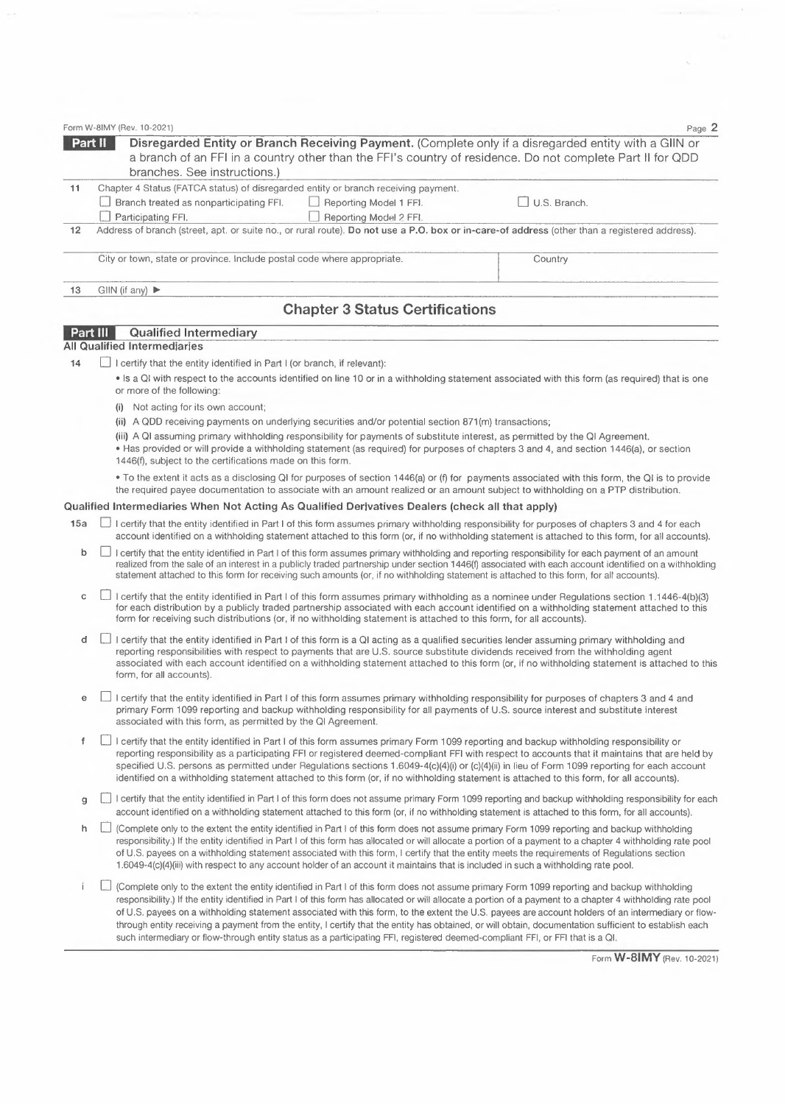|    | Form W-8IMY (Rev. 10-2021)                                                                                                                                                                                                                                     | Page 2       |
|----|----------------------------------------------------------------------------------------------------------------------------------------------------------------------------------------------------------------------------------------------------------------|--------------|
|    | Part II<br>Disregarded Entity or Branch Receiving Payment. (Complete only if a disregarded entity with a GIIN or<br>a branch of an FFI in a country other than the FFI's country of residence. Do not complete Part II for QDD<br>branches. See instructions.) |              |
| 11 | Chapter 4 Status (FATCA status) of disregarded entity or branch receiving payment.<br>Branch treated as nonparticipating FFI.<br>Reporting Model 1 FFI.<br>Participating FFI.<br>Reporting Model 2 FFI.                                                        | U.S. Branch. |
| 12 | Address of branch (street, apt. or suite no., or rural route). Do not use a P.O. box or in-care-of address (other than a registered address).                                                                                                                  |              |
|    | City or town, state or province. Include postal code where appropriate.                                                                                                                                                                                        | Country      |
| 13 | GIIN (if any) $\blacktriangleright$                                                                                                                                                                                                                            |              |
|    | <b>Chapter 3 Status Certifications</b>                                                                                                                                                                                                                         |              |
|    | Part III<br><b>Qualified Intermediary</b><br><b>All Qualified Intermediaries</b>                                                                                                                                                                               |              |
| 14 | I certify that the entity identified in Part I (or branch, if relevant):                                                                                                                                                                                       |              |
|    | • Is a QI with respect to the accounts identified on line 10 or in a withholding statement associated with this form (as required) that is one<br>or more of the following:                                                                                    |              |
|    | Not acting for its own account;<br>(i)                                                                                                                                                                                                                         |              |

(ii) <sup>A</sup> QDD receiving payments on underlying securities and/or potential section 871(m) transactions;

(iii) <sup>A</sup> QI assuming primary withholding responsibility for payments of substitute interest, as permitted by the QI Agreement. • Has provided or will provide <sup>a</sup> withholding statement (as required) for purposes of chapters 3 and 4, and section 1446(a), or section 1446(f), subject to the certifications made on this form.

• To the extent it acts as <sup>a</sup> disclosing QI for purposes of section 1446(a) or (f) for payments associated with this form, the QI is to provide the required payee documentation to associate with an amount realized or an amount subject to withholding on <sup>a</sup> PTP distribution.

## **Qualified Intermediaries When Not Acting As Qualified Derivatives Dealers (check all that apply)**

- 15a **I** I certify that the entity identified in Part I of this form assumes primary withholding responsibility for purposes of chapters 3 and 4 for each account identified on <sup>a</sup> withholding statement attached to this form (or, if no withholding statement is attached to this form, for all accounts).
	- **b**  $\Box$  I certify that the entity identified in Part I of this form assumes primary withholding and reporting responsibility for each payment of an amount realized from the sale of an interest in <sup>a</sup> publicly traded partnership under section 1446(f) associated with each account identified on <sup>a</sup> withholding statement attached to this form for receiving such amounts (or, if no withholding statement is attached to this form, for all accounts).
	- c  $\Box$  I certify that the entity identified in Part I of this form assumes primary withholding as a nominee under Regulations section 1.1446-4(b)(3) for each distribution by <sup>a</sup> publicly traded partnership associated with each account identified on <sup>a</sup> withholding statement attached to this form for receiving such distributions (or, if no withholding statement is attached to this form, for all accounts).
	- **d** □ I certify that the entity identified in Part I of this form is a QI acting as a qualified securities lender assuming primary withholding and reporting responsibilities with respect to payments that are U.S. source substitute dividends received from the withholding agent associated with each account identified on <sup>a</sup> withholding statement attached to this form (or, if no withholding statement is attached to this form, for all accounts).
	- **e** □ I certify that the entity identified in Part I of this form assumes primary withholding responsibility for purposes of chapters 3 and 4 and primary Form 1099 reporting and backup withholding responsibility for all payments of U.S. source interest and substitute interest associated with this form, as permitted by the QI Agreement.
	- O <sup>I</sup> certify that the entity identified in Part <sup>I</sup> of this form assumes primary Form 1099 reporting and backup withholding responsibility or  $f$ reporting responsibility as <sup>a</sup> participating FFI or registered deemed-compliant FFI with respect to accounts that it maintains that are held by specified U.S. persons as permitted under Regulations sections 1.6049-4(c)(4)(i) or (c)(4)(ii) in lieu of Form 1099 reporting for each account identified on <sup>a</sup> withholding statement attached to this form (or, if no withholding statement is attached to this form, for all accounts).
	- I certify that the entity identified in Part I of this form does not assume primary Form 1099 reporting and backup withholding responsibility for each account identified on <sup>a</sup> withholding statement attached to this form (or, if no withholding statement is attached to this form, for all accounts).
	- h  $\Box$  (Complete only to the extent the entity identified in Part I of this form does not assume primary Form 1099 reporting and backup withholding responsibility.) If the entity identified in Part <sup>I</sup> of this form has allocated or will allocate <sup>a</sup> portion of <sup>a</sup> payment to <sup>a</sup> chapter <sup>4</sup> withholding rate pool of U.S. payees on <sup>a</sup> withholding statement associated with this form, <sup>I</sup> certify that the entity meets the requirements of Regulations section 1.6049-4(c)(4)(iii) with respect to any account holder of an account it maintains that is included in such <sup>a</sup> withholding rate pool.
	- i. O (Complete only to the extent the entity identified in Part <sup>I</sup> of this form does not assume primary Form <sup>1099</sup> reporting and backup withholding responsibility.) If the entity identified in Part <sup>I</sup> of this form has allocated or will allocate <sup>a</sup> portion of <sup>a</sup> payment to <sup>a</sup> chapter <sup>4</sup> withholding rate pool of U.S. payees on <sup>a</sup> withholding statement associated with this form, to the extent the U.S. payees are account holders of an intermediary or flowthrough entity receiving <sup>a</sup> payment from the entity, <sup>I</sup> certify that the entity has obtained, or will obtain, documentation sufficient to establish each such intermediary or flow-through entity status as <sup>a</sup> participating FFI, registered deemed-compliant FFI, or FFI that is <sup>a</sup> QI.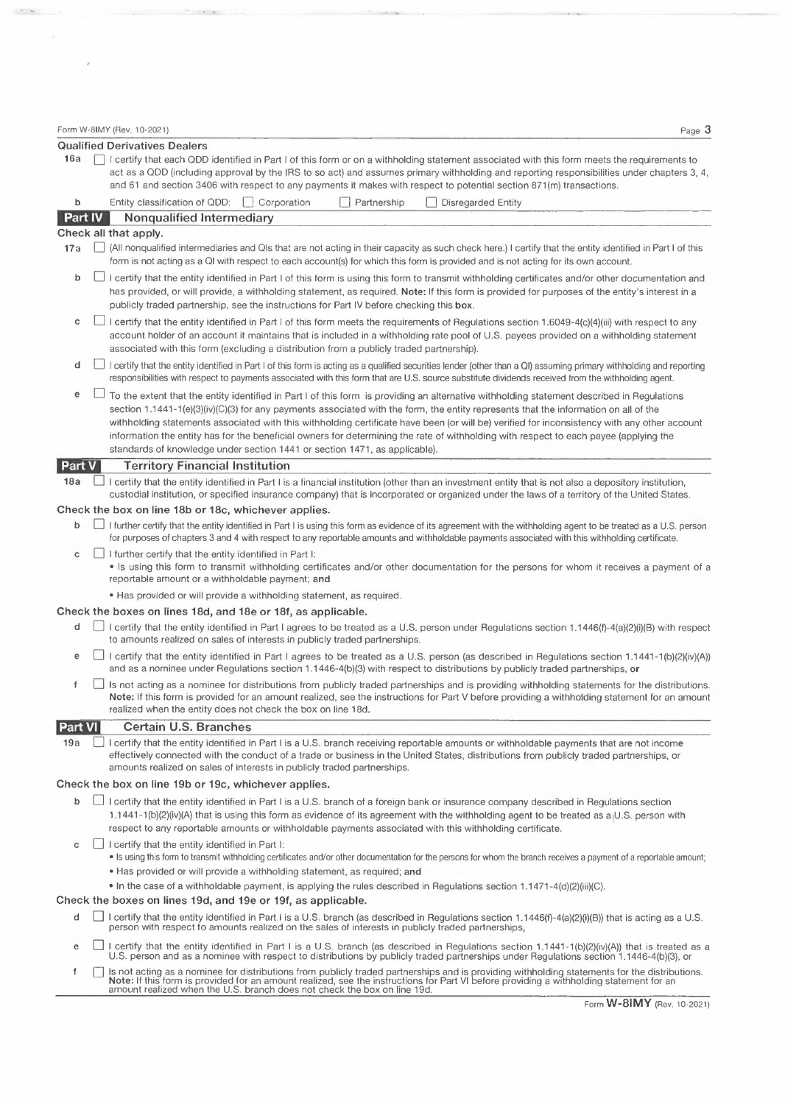$\label{eq:1.1} \begin{array}{cccccccccc} \hline \end{array} \qquad \qquad \begin{array}{cccccccccc} \hline \end{array} \qquad \qquad \begin{array}{cccccccccc} \hline \end{array} \qquad \qquad \begin{array}{cccccccccc} \hline \end{array} \qquad \qquad \begin{array}{cccccccccc} \hline \end{array} \qquad \qquad \begin{array}{cccccccccc} \hline \end{array} \qquad \qquad \begin{array}{cccccccccc} \hline \end{array} \qquad \qquad \begin{array}{cccccccccc} \hline \end{array} \qquad \qquad \begin{array}{cccccccccc} \hline \end{array} \qquad \qquad \begin{array$ 

 $\sigma$  ,  $\sigma_{\rm{eff}}$  ,  $\sigma_{\rm{eff}}$ 

|                | Form W-8IMY (Rev. 10-2021)<br>Page 3                                                                                                                                                                                                                                                                                                                                                                                                                                                                                                                                                                                                                      |
|----------------|-----------------------------------------------------------------------------------------------------------------------------------------------------------------------------------------------------------------------------------------------------------------------------------------------------------------------------------------------------------------------------------------------------------------------------------------------------------------------------------------------------------------------------------------------------------------------------------------------------------------------------------------------------------|
| 16a            | <b>Qualified Derivatives Dealers</b><br>I certify that each QDD identified in Part I of this form or on a withholding statement associated with this form meets the requirements to<br>act as a QDD (including approval by the IRS to so act) and assumes primary withholding and reporting responsibilities under chapters 3, 4,                                                                                                                                                                                                                                                                                                                         |
| b              | and 61 and section 3406 with respect to any payments it makes with respect to potential section 871(m) transactions.<br>Entity classification of QDD:   Corporation<br>Partnership<br><b>Disregarded Entity</b>                                                                                                                                                                                                                                                                                                                                                                                                                                           |
| <b>Part IV</b> | <b>Nonqualified Intermediary</b>                                                                                                                                                                                                                                                                                                                                                                                                                                                                                                                                                                                                                          |
|                | Check all that apply.                                                                                                                                                                                                                                                                                                                                                                                                                                                                                                                                                                                                                                     |
| 17a            | (All nonqualified intermediaries and QIs that are not acting in their capacity as such check here.) I certify that the entity identified in Part I of this<br>form is not acting as a QI with respect to each account(s) for which this form is provided and is not acting for its own account.                                                                                                                                                                                                                                                                                                                                                           |
| b              | I certify that the entity identified in Part I of this form is using this form to transmit withholding certificates and/or other documentation and<br>has provided, or will provide, a withholding statement, as required. Note: If this form is provided for purposes of the entity's interest in a<br>publicly traded partnership, see the instructions for Part IV before checking this box.                                                                                                                                                                                                                                                           |
| c              | I certify that the entity identified in Part I of this form meets the requirements of Regulations section 1.6049-4(c)(4)(iii) with respect to any<br>account holder of an account it maintains that is included in a withholding rate pool of U.S. payees provided on a withholding statement<br>associated with this form (excluding a distribution from a publicly traded partnership).                                                                                                                                                                                                                                                                 |
| d              | I certify that the entity identified in Part I of this form is acting as a qualified securities lender (other than a QI) assuming primary withholding and reporting<br>responsibilities with respect to payments associated with this form that are U.S. source substitute dividends received from the withholding agent.                                                                                                                                                                                                                                                                                                                                 |
| е              | To the extent that the entity identified in Part I of this form is providing an alternative withholding statement described in Regulations<br>section 1.1441-1(e)(3)(iv)(C)(3) for any payments associated with the form, the entity represents that the information on all of the<br>withholding statements associated with this withholding certificate have been (or will be) verified for inconsistency with any other account<br>information the entity has for the beneficial owners for determining the rate of withholding with respect to each payee (applying the<br>standards of knowledge under section 1441 or section 1471, as applicable). |
| Part V         | <b>Territory Financial Institution</b>                                                                                                                                                                                                                                                                                                                                                                                                                                                                                                                                                                                                                    |
| 18a            | I certify that the entity identified in Part I is a financial institution (other than an investment entity that is not also a depository institution,<br>custodial institution, or specified insurance company) that is incorporated or organized under the laws of a territory of the United States.                                                                                                                                                                                                                                                                                                                                                     |
|                | Check the box on line 18b or 18c, whichever applies.                                                                                                                                                                                                                                                                                                                                                                                                                                                                                                                                                                                                      |
| b              | I further certify that the entity identified in Part I is using this form as evidence of its agreement with the withholding agent to be treated as a U.S. person<br>for purposes of chapters 3 and 4 with respect to any reportable amounts and withholdable payments associated with this withholding certificate.                                                                                                                                                                                                                                                                                                                                       |
| c              | I further certify that the entity identified in Part I:<br>• Is using this form to transmit withholding certificates and/or other documentation for the persons for whom it receives a payment of a<br>reportable amount or a withholdable payment; and                                                                                                                                                                                                                                                                                                                                                                                                   |
|                | . Has provided or will provide a withholding statement, as required.                                                                                                                                                                                                                                                                                                                                                                                                                                                                                                                                                                                      |
|                | Check the boxes on lines 18d, and 18e or 18f, as applicable.                                                                                                                                                                                                                                                                                                                                                                                                                                                                                                                                                                                              |
| d              | □ I certify that the entity identified in Part I agrees to be treated as a U.S. person under Regulations section 1.1446(f)-4(a)(2)(i)(B) with respect<br>to amounts realized on sales of interests in publicly traded partnerships.                                                                                                                                                                                                                                                                                                                                                                                                                       |
| е              | □ I certify that the entity identified in Part I agrees to be treated as a U.S. person (as described in Regulations section 1.1441-1(b)(2)(iv)(A))<br>and as a nominee under Regulations section 1.1446-4(b)(3) with respect to distributions by publicly traded partnerships, or                                                                                                                                                                                                                                                                                                                                                                         |
| f              | Is not acting as a nominee for distributions from publicly traded partnerships and is providing withholding statements for the distributions.<br>Note: If this form is provided for an amount realized, see the instructions for Part V before providing a withholding statement for an amount<br>realized when the entity does not check the box on line 18d.                                                                                                                                                                                                                                                                                            |
| Part VI        | <b>Certain U.S. Branches</b>                                                                                                                                                                                                                                                                                                                                                                                                                                                                                                                                                                                                                              |
| 19a            | I certify that the entity identified in Part I is a U.S. branch receiving reportable amounts or withholdable payments that are not income<br>effectively connected with the conduct of a trade or business in the United States, distributions from publicly traded partnerships, or<br>amounts realized on sales of interests in publicly traded partnerships.                                                                                                                                                                                                                                                                                           |
|                | Check the box on line 19b or 19c, whichever applies.                                                                                                                                                                                                                                                                                                                                                                                                                                                                                                                                                                                                      |
| b              | I certify that the entity identified in Part I is a U.S. branch of a foreign bank or insurance company described in Regulations section<br>1.1441-1(b)(2)(iv)(A) that is using this form as evidence of its agreement with the withholding agent to be treated as a U.S. person with<br>respect to any reportable amounts or withholdable payments associated with this withholding certificate.                                                                                                                                                                                                                                                          |
| c              | I certify that the entity identified in Part I:<br>. Is using this form to transmit withholding certificates and/or other documentation for the persons for whom the branch receives a payment of a reportable amount;<br>. Has provided or will provide a withholding statement, as required; and                                                                                                                                                                                                                                                                                                                                                        |
|                | • In the case of a withholdable payment, is applying the rules described in Regulations section 1.1471-4(d)(2)(iii)(C).<br>Check the boxes on lines 19d, and 19e or 19f, as applicable.                                                                                                                                                                                                                                                                                                                                                                                                                                                                   |
| d              | I certify that the entity identified in Part I is a U.S. branch (as described in Regulations section 1.1446(f)-4(a)(2)(i)(B)) that is acting as a U.S.<br>person with respect to amounts realized on the sales of interests in publicly traded partnerships,                                                                                                                                                                                                                                                                                                                                                                                              |

- e □ I certify that the entity identified in Part I is a U.S. branch (as described in Regulations section 1.1441-1(b)(2)(iv)(A)) that is treated as a CU.S. person and as a nominee with respect to distributions by publicly
- Is not acting as a nominee for distributions from publicly traded partnerships and is providing withholding statements for the distributions.<br>Note: If this form is provided for an amount realized, see the instructions for f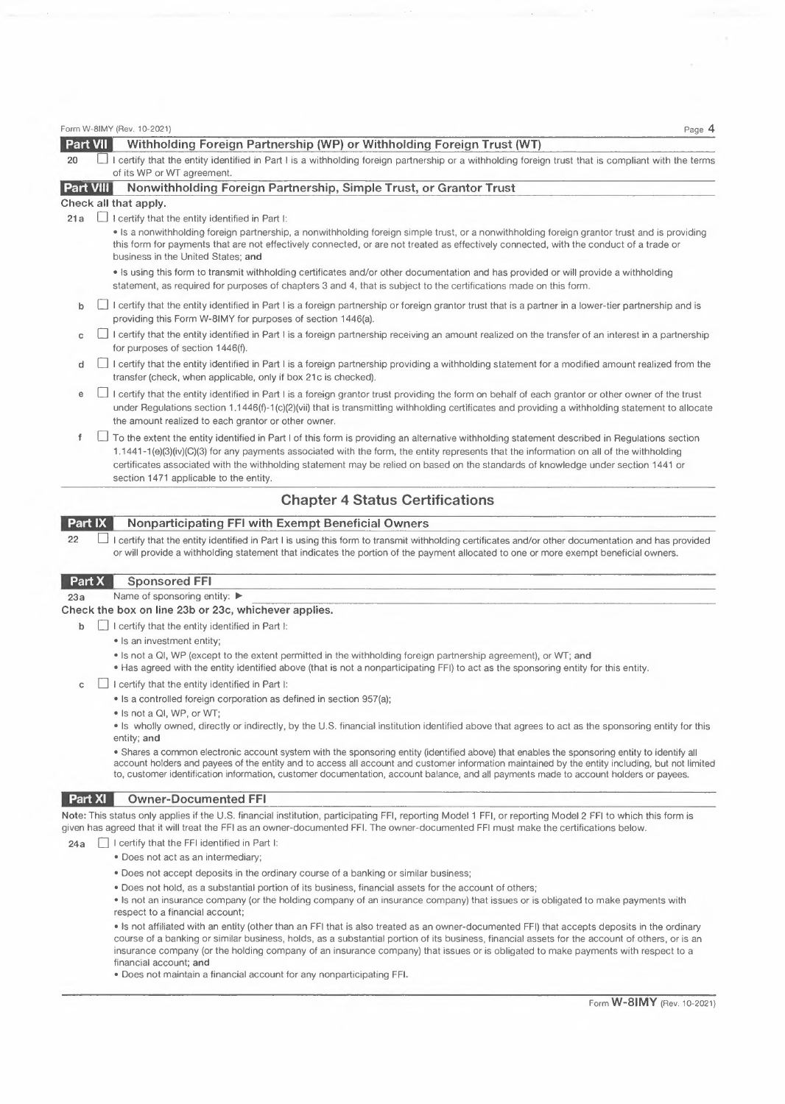|                  | Form W-8IMY (Rev. 10-2021)<br>Page 4                                                                                                                                                                                                                                                                                                                                                                                                                                     |
|------------------|--------------------------------------------------------------------------------------------------------------------------------------------------------------------------------------------------------------------------------------------------------------------------------------------------------------------------------------------------------------------------------------------------------------------------------------------------------------------------|
| <b>Part VII</b>  | Withholding Foreign Partnership (WP) or Withholding Foreign Trust (WT)                                                                                                                                                                                                                                                                                                                                                                                                   |
| 20               | I certify that the entity identified in Part I is a withholding foreign partnership or a withholding foreign trust that is compliant with the terms<br>of its WP or WT agreement.                                                                                                                                                                                                                                                                                        |
| <b>Part VIII</b> | Nonwithholding Foreign Partnership, Simple Trust, or Grantor Trust                                                                                                                                                                                                                                                                                                                                                                                                       |
|                  | Check all that apply.                                                                                                                                                                                                                                                                                                                                                                                                                                                    |
| 21a              | $\Box$ I certify that the entity identified in Part I:                                                                                                                                                                                                                                                                                                                                                                                                                   |
|                  | • Is a nonwithholding foreign partnership, a nonwithholding foreign simple trust, or a nonwithholding foreign grantor trust and is providing<br>this form for payments that are not effectively connected, or are not treated as effectively connected, with the conduct of a trade or<br>business in the United States; and                                                                                                                                             |
|                  | • Is using this form to transmit withholding certificates and/or other documentation and has provided or will provide a withholding<br>statement, as required for purposes of chapters 3 and 4, that is subject to the certifications made on this form.                                                                                                                                                                                                                 |
| b                | I certify that the entity identified in Part I is a foreign partnership or foreign grantor trust that is a partner in a lower-tier partnership and is<br>providing this Form W-8IMY for purposes of section 1446(a).                                                                                                                                                                                                                                                     |
| c                | I certify that the entity identified in Part I is a foreign partnership receiving an amount realized on the transfer of an interest in a partnership<br>for purposes of section 1446(f).                                                                                                                                                                                                                                                                                 |
| d                | I certify that the entity identified in Part I is a foreign partnership providing a withholding statement for a modified amount realized from the<br>transfer (check, when applicable, only if box 21c is checked).                                                                                                                                                                                                                                                      |
| е                | I certify that the entity identified in Part I is a foreign grantor trust providing the form on behalf of each grantor or other owner of the trust<br>under Requlations section 1.1446(f)-1(c)(2)(vii) that is transmitting withholding certificates and providing a withholding statement to allocate<br>the amount realized to each grantor or other owner.                                                                                                            |
| f                | To the extent the entity identified in Part I of this form is providing an alternative withholding statement described in Regulations section<br>1.1441-1(e)(3)(iv)(C)(3) for any payments associated with the form, the entity represents that the information on all of the withholding<br>certificates associated with the withholding statement may be relied on based on the standards of knowledge under section 1441 or<br>section 1471 applicable to the entity. |
|                  | <b>Chapter 4 Status Certifications</b>                                                                                                                                                                                                                                                                                                                                                                                                                                   |
| Part IX          | <b>Nonparticipating FFI with Exempt Beneficial Owners</b>                                                                                                                                                                                                                                                                                                                                                                                                                |
| 22               | I certify that the entity identified in Part I is using this form to transmit withholding certificates and/or other documentation and has provided<br>or will provide a withholding statement that indicates the portion of the payment allocated to one or more exempt beneficial owners.                                                                                                                                                                               |
| Part X           | <b>Sponsored FFI</b>                                                                                                                                                                                                                                                                                                                                                                                                                                                     |
| 23a              | Name of sponsoring entity: ▶                                                                                                                                                                                                                                                                                                                                                                                                                                             |
|                  | Check the box on line 23b or 23c, whichever applies.                                                                                                                                                                                                                                                                                                                                                                                                                     |

- **b**  $\Box$  I certify that the entity identified in Part I:
	- Is an investment entity;
	- Is not <sup>a</sup> QI, WP (except to the extent permitted in the withholding foreign partnership agreement), or *WT;* **and**
	- Has agreed with the entity identified above (that is not <sup>a</sup> nonparticipating FFI) to act as the sponsoring entity for this entity.
- $c \Box$  I certify that the entity identified in Part I:
	- Is <sup>a</sup> controlled foreign corporation as defined in section 957(a);
	- Is not <sup>a</sup> QI, WP, or *WT;*

• Is wholly owned, directly or indirectly, by the U.S. financial institution identified above that agrees to act as the sponsoring entity for this entity; **and**

• Shares <sup>a</sup> common electronic account system with the sponsoring entity (identified above) that enables the sponsoring entity to identify all account holders and payees of the entity and to access all account and customer information maintained by the entity including, but not limited to, customer identification information, customer documentation, account balance, and all payments made to account holders or payees.

## **IEEE IEEE Owner-Documented** FFI

Note: This status only applies if the U.S. financial institution, participating FFI, reporting Model 1 FFI, or reporting Model 2 FFI to which this form is given has agreed that it will treat the FFI as an owner-documented FFI. The owner-documented FFI must make the certifications below.

## $24a$   $\Box$  I certify that the FFI identified in Part I:

- Does not act as an intermediary;
- Does not accept deposits in the ordinary course of <sup>a</sup> banking or similar business;
- Does not hold, as <sup>a</sup> substantial portion of its business, financial assets for the account of others;
- Is not an insurance company (or the holding company of an insurance company) that issues or is obligated to make payments with respect to <sup>a</sup> financial account;

• Is not affiliated with an entity (other than an FFI that is also treated as an owner-documented FFI) that accepts deposits in the ordinary course of <sup>a</sup> banking or similar business, holds, as <sup>a</sup> substantial portion of its business, financial assets for the account of others, or is an insurance company (or the holding company of an insurance company) that issues or is obligated to make payments with respect to <sup>a</sup> financial account; **and**

• Does not maintain <sup>a</sup> financial account for any nonparticipating FFI.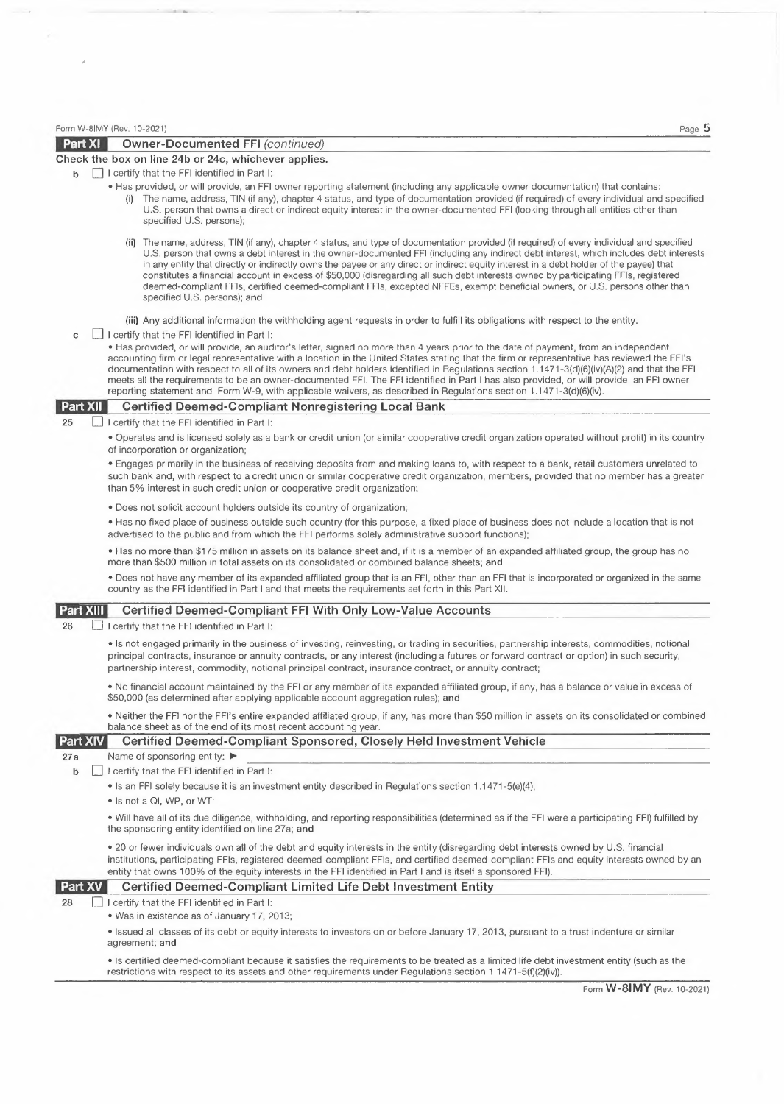|                  | Form W-8IMY (Rev. 10-2021)<br>Page 5                                                                                                                                                                                                                                                                                                                                                                                                                                                                                                                                                                                                                                                                                                  |
|------------------|---------------------------------------------------------------------------------------------------------------------------------------------------------------------------------------------------------------------------------------------------------------------------------------------------------------------------------------------------------------------------------------------------------------------------------------------------------------------------------------------------------------------------------------------------------------------------------------------------------------------------------------------------------------------------------------------------------------------------------------|
| <b>Part XI</b>   | <b>Owner-Documented FFI (continued)</b>                                                                                                                                                                                                                                                                                                                                                                                                                                                                                                                                                                                                                                                                                               |
|                  | Check the box on line 24b or 24c, whichever applies.                                                                                                                                                                                                                                                                                                                                                                                                                                                                                                                                                                                                                                                                                  |
| b                | I certify that the FFI identified in Part I:                                                                                                                                                                                                                                                                                                                                                                                                                                                                                                                                                                                                                                                                                          |
|                  | • Has provided, or will provide, an FFI owner reporting statement (including any applicable owner documentation) that contains:<br>(i) The name, address, TIN (if any), chapter 4 status, and type of documentation provided (if required) of every individual and specified<br>U.S. person that owns a direct or indirect equity interest in the owner-documented FFI (looking through all entities other than<br>specified U.S. persons);                                                                                                                                                                                                                                                                                           |
|                  | (ii) The name, address, TIN (if any), chapter 4 status, and type of documentation provided (if required) of every individual and specified<br>U.S. person that owns a debt interest in the owner-documented FFI (including any indirect debt interest, which includes debt interests<br>in any entity that directly or indirectly owns the payee or any direct or indirect equity interest in a debt holder of the payee) that<br>constitutes a financial account in excess of \$50,000 (disregarding all such debt interests owned by participating FFIs, registered<br>deemed-compliant FFIs, certified deemed-compliant FFIs, excepted NFFEs, exempt beneficial owners, or U.S. persons other than<br>specified U.S. persons); and |
|                  | (iii) Any additional information the withholding agent requests in order to fulfill its obligations with respect to the entity.                                                                                                                                                                                                                                                                                                                                                                                                                                                                                                                                                                                                       |
| c                | I certify that the FFI identified in Part I:                                                                                                                                                                                                                                                                                                                                                                                                                                                                                                                                                                                                                                                                                          |
|                  | • Has provided, or will provide, an auditor's letter, signed no more than 4 years prior to the date of payment, from an independent<br>accounting firm or legal representative with a location in the United States stating that the firm or representative has reviewed the FFI's<br>documentation with respect to all of its owners and debt holders identified in Regulations section 1.1471-3(d)(6)(iv)(A)(2) and that the FFI<br>meets all the requirements to be an owner-documented FFI. The FFI identified in Part I has also provided, or will provide, an FFI owner<br>reporting statement and Form W-9, with applicable waivers, as described in Regulations section 1.1471-3(d)(6)(iv).                                   |
| Part XII         | <b>Certified Deemed-Compliant Nonregistering Local Bank</b>                                                                                                                                                                                                                                                                                                                                                                                                                                                                                                                                                                                                                                                                           |
| 25               | I certify that the FFI identified in Part I:                                                                                                                                                                                                                                                                                                                                                                                                                                                                                                                                                                                                                                                                                          |
|                  | • Operates and is licensed solely as a bank or credit union (or similar cooperative credit organization operated without profit) in its country<br>of incorporation or organization;                                                                                                                                                                                                                                                                                                                                                                                                                                                                                                                                                  |
|                  | . Engages primarily in the business of receiving deposits from and making loans to, with respect to a bank, retail customers unrelated to<br>such bank and, with respect to a credit union or similar cooperative credit organization, members, provided that no member has a greater<br>than 5% interest in such credit union or cooperative credit organization;                                                                                                                                                                                                                                                                                                                                                                    |
|                  | • Does not solicit account holders outside its country of organization;                                                                                                                                                                                                                                                                                                                                                                                                                                                                                                                                                                                                                                                               |
|                  | • Has no fixed place of business outside such country (for this purpose, a fixed place of business does not include a location that is not<br>advertised to the public and from which the FFI performs solely administrative support functions);                                                                                                                                                                                                                                                                                                                                                                                                                                                                                      |
|                  | • Has no more than \$175 million in assets on its balance sheet and, if it is a member of an expanded affiliated group, the group has no<br>more than \$500 million in total assets on its consolidated or combined balance sheets; and                                                                                                                                                                                                                                                                                                                                                                                                                                                                                               |
|                  | . Does not have any member of its expanded affiliated group that is an FFI, other than an FFI that is incorporated or organized in the same<br>country as the FFI identified in Part I and that meets the requirements set forth in this Part XII.                                                                                                                                                                                                                                                                                                                                                                                                                                                                                    |
| <b>Part XIII</b> | <b>Certified Deemed-Compliant FFI With Only Low-Value Accounts</b>                                                                                                                                                                                                                                                                                                                                                                                                                                                                                                                                                                                                                                                                    |
| 26               | I certify that the FFI identified in Part I:                                                                                                                                                                                                                                                                                                                                                                                                                                                                                                                                                                                                                                                                                          |
|                  | • Is not engaged primarily in the business of investing, reinvesting, or trading in securities, partnership interests, commodities, notional<br>principal contracts, insurance or annuity contracts, or any interest (including a futures or forward contract or option) in such security,<br>partnership interest, commodity, notional principal contract, insurance contract, or annuity contract;                                                                                                                                                                                                                                                                                                                                  |
|                  | • No financial account maintained by the FFI or any member of its expanded affiliated group, if any, has a balance or value in excess of<br>\$50,000 (as determined after applying applicable account aggregation rules); and                                                                                                                                                                                                                                                                                                                                                                                                                                                                                                         |
|                  | • Neither the FFI nor the FFI's entire expanded affiliated group, if any, has more than \$50 million in assets on its consolidated or combined<br>balance sheet as of the end of its most recent accounting year.                                                                                                                                                                                                                                                                                                                                                                                                                                                                                                                     |
| Part XIV         | Certified Deemed-Compliant Sponsored, Closely Held Investment Vehicle                                                                                                                                                                                                                                                                                                                                                                                                                                                                                                                                                                                                                                                                 |
| 27a              | Name of sponsoring entity: ▶                                                                                                                                                                                                                                                                                                                                                                                                                                                                                                                                                                                                                                                                                                          |
| b                | I certify that the FFI identified in Part I:<br>• Is an FFI solely because it is an investment entity described in Regulations section 1.1471-5(e)(4);                                                                                                                                                                                                                                                                                                                                                                                                                                                                                                                                                                                |
|                  | • Is not a QI, WP, or WT;                                                                                                                                                                                                                                                                                                                                                                                                                                                                                                                                                                                                                                                                                                             |
|                  | • Will have all of its due diligence, withholding, and reporting responsibilities (determined as if the FFI were a participating FFI) fulfilled by<br>the sponsoring entity identified on line 27a; and                                                                                                                                                                                                                                                                                                                                                                                                                                                                                                                               |
|                  | • 20 or fewer individuals own all of the debt and equity interests in the entity (disregarding debt interests owned by U.S. financial<br>institutions, participating FFIs, registered deemed-compliant FFIs, and certified deemed-compliant FFIs and equity interests owned by an<br>entity that owns 100% of the equity interests in the FFI identified in Part I and is itself a sponsored FFI).                                                                                                                                                                                                                                                                                                                                    |
| Part XV          | <b>Certified Deemed-Compliant Limited Life Debt Investment Entity</b>                                                                                                                                                                                                                                                                                                                                                                                                                                                                                                                                                                                                                                                                 |
| 28               | I certify that the FFI identified in Part I:<br>• Was in existence as of January 17, 2013;                                                                                                                                                                                                                                                                                                                                                                                                                                                                                                                                                                                                                                            |
|                  | • Issued all classes of its debt or equity interests to investors on or before January 17, 2013, pursuant to a trust indenture or similar<br>agreement; and                                                                                                                                                                                                                                                                                                                                                                                                                                                                                                                                                                           |
|                  | • Is certified deemed-compliant because it satisfies the requirements to be treated as a limited life debt investment entity (such as the<br>restrictions with respect to its assets and other requirements under Regulations section 1.1471-5(f)(2)(iv)).                                                                                                                                                                                                                                                                                                                                                                                                                                                                            |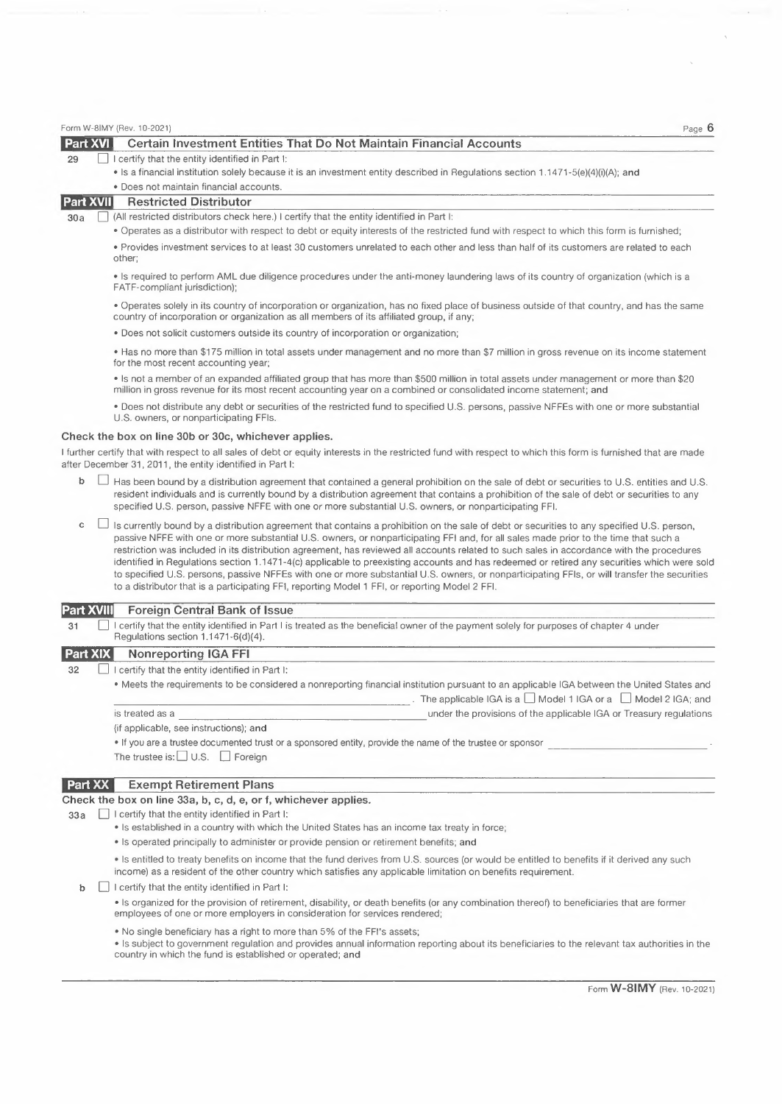| <b>Part XVI</b>   | , ayo<br>Certain Investment Entities That Do Not Maintain Financial Accounts                                                                                                                                                                                                                                                                                                                                                                                                                                                                                                                                                                                                                                                                                                                                                     |
|-------------------|----------------------------------------------------------------------------------------------------------------------------------------------------------------------------------------------------------------------------------------------------------------------------------------------------------------------------------------------------------------------------------------------------------------------------------------------------------------------------------------------------------------------------------------------------------------------------------------------------------------------------------------------------------------------------------------------------------------------------------------------------------------------------------------------------------------------------------|
| 29                | I certify that the entity identified in Part I:                                                                                                                                                                                                                                                                                                                                                                                                                                                                                                                                                                                                                                                                                                                                                                                  |
|                   | • Is a financial institution solely because it is an investment entity described in Regulations section 1.1471-5(e)(4)(i)(A); and                                                                                                                                                                                                                                                                                                                                                                                                                                                                                                                                                                                                                                                                                                |
|                   | · Does not maintain financial accounts.                                                                                                                                                                                                                                                                                                                                                                                                                                                                                                                                                                                                                                                                                                                                                                                          |
| <b>Part XVII</b>  | <b>Restricted Distributor</b>                                                                                                                                                                                                                                                                                                                                                                                                                                                                                                                                                                                                                                                                                                                                                                                                    |
| 30a               | (All restricted distributors check here.) I certify that the entity identified in Part I:                                                                                                                                                                                                                                                                                                                                                                                                                                                                                                                                                                                                                                                                                                                                        |
|                   | . Operates as a distributor with respect to debt or equity interests of the restricted fund with respect to which this form is furnished;                                                                                                                                                                                                                                                                                                                                                                                                                                                                                                                                                                                                                                                                                        |
|                   | • Provides investment services to at least 30 customers unrelated to each other and less than half of its customers are related to each<br>other;                                                                                                                                                                                                                                                                                                                                                                                                                                                                                                                                                                                                                                                                                |
|                   | . Is required to perform AML due diligence procedures under the anti-money laundering laws of its country of organization (which is a<br>FATF-compliant jurisdiction);                                                                                                                                                                                                                                                                                                                                                                                                                                                                                                                                                                                                                                                           |
|                   | . Operates solely in its country of incorporation or organization, has no fixed place of business outside of that country, and has the same<br>country of incorporation or organization as all members of its affiliated group, if any;                                                                                                                                                                                                                                                                                                                                                                                                                                                                                                                                                                                          |
|                   | . Does not solicit customers outside its country of incorporation or organization;                                                                                                                                                                                                                                                                                                                                                                                                                                                                                                                                                                                                                                                                                                                                               |
|                   | • Has no more than \$175 million in total assets under management and no more than \$7 million in gross revenue on its income statement                                                                                                                                                                                                                                                                                                                                                                                                                                                                                                                                                                                                                                                                                          |
|                   | for the most recent accounting year;<br>• Is not a member of an expanded affiliated group that has more than \$500 million in total assets under management or more than \$20<br>million in gross revenue for its most recent accounting year on a combined or consolidated income statement; and                                                                                                                                                                                                                                                                                                                                                                                                                                                                                                                                |
|                   | . Does not distribute any debt or securities of the restricted fund to specified U.S. persons, passive NFFEs with one or more substantial<br>U.S. owners, or nonparticipating FFIs.                                                                                                                                                                                                                                                                                                                                                                                                                                                                                                                                                                                                                                              |
|                   | Check the box on line 30b or 30c, whichever applies.                                                                                                                                                                                                                                                                                                                                                                                                                                                                                                                                                                                                                                                                                                                                                                             |
|                   |                                                                                                                                                                                                                                                                                                                                                                                                                                                                                                                                                                                                                                                                                                                                                                                                                                  |
|                   | I further certify that with respect to all sales of debt or equity interests in the restricted fund with respect to which this form is furnished that are made<br>after December 31, 2011, the entity identified in Part I:                                                                                                                                                                                                                                                                                                                                                                                                                                                                                                                                                                                                      |
| b                 | Has been bound by a distribution agreement that contained a general prohibition on the sale of debt or securities to U.S. entities and U.S.<br>resident individuals and is currently bound by a distribution agreement that contains a prohibition of the sale of debt or securities to any<br>specified U.S. person, passive NFFE with one or more substantial U.S. owners, or nonparticipating FFI.                                                                                                                                                                                                                                                                                                                                                                                                                            |
| c                 | Is currently bound by a distribution agreement that contains a prohibition on the sale of debt or securities to any specified U.S. person,<br>passive NFFE with one or more substantial U.S. owners, or nonparticipating FFI and, for all sales made prior to the time that such a<br>restriction was included in its distribution agreement, has reviewed all accounts related to such sales in accordance with the procedures<br>identified in Regulations section 1.1471-4(c) applicable to preexisting accounts and has redeemed or retired any securities which were sold<br>to specified U.S. persons, passive NFFEs with one or more substantial U.S. owners, or nonparticipating FFIs, or will transfer the securities<br>to a distributor that is a participating FFI, reporting Model 1 FFI, or reporting Model 2 FFI. |
| <b>Part XVIII</b> | <b>Foreign Central Bank of Issue</b>                                                                                                                                                                                                                                                                                                                                                                                                                                                                                                                                                                                                                                                                                                                                                                                             |
| 31                | I certify that the entity identified in Part I is treated as the beneficial owner of the payment solely for purposes of chapter 4 under<br>Regulations section 1.1471-6(d)(4).                                                                                                                                                                                                                                                                                                                                                                                                                                                                                                                                                                                                                                                   |
| <b>Part XIX</b>   | <b>Nonreporting IGA FFI</b>                                                                                                                                                                                                                                                                                                                                                                                                                                                                                                                                                                                                                                                                                                                                                                                                      |
| 32                | I certify that the entity identified in Part I:                                                                                                                                                                                                                                                                                                                                                                                                                                                                                                                                                                                                                                                                                                                                                                                  |
|                   | . Meets the requirements to be considered a nonreporting financial institution pursuant to an applicable IGA between the United States and                                                                                                                                                                                                                                                                                                                                                                                                                                                                                                                                                                                                                                                                                       |
|                   | The applicable IGA is a $\Box$ Model 1 IGA or a $\Box$ Model 2 IGA; and                                                                                                                                                                                                                                                                                                                                                                                                                                                                                                                                                                                                                                                                                                                                                          |
|                   | under the provisions of the applicable IGA or Treasury regulations<br>is treated as a                                                                                                                                                                                                                                                                                                                                                                                                                                                                                                                                                                                                                                                                                                                                            |
|                   | (if applicable, see instructions); and                                                                                                                                                                                                                                                                                                                                                                                                                                                                                                                                                                                                                                                                                                                                                                                           |
|                   | . If you are a trustee documented trust or a sponsored entity, provide the name of the trustee or sponsor                                                                                                                                                                                                                                                                                                                                                                                                                                                                                                                                                                                                                                                                                                                        |
|                   | The trustee is: $\Box$ U.S. $\Box$ Foreign                                                                                                                                                                                                                                                                                                                                                                                                                                                                                                                                                                                                                                                                                                                                                                                       |
| Part XX           | <b>Exempt Retirement Plans</b>                                                                                                                                                                                                                                                                                                                                                                                                                                                                                                                                                                                                                                                                                                                                                                                                   |
|                   | Check the box on line 33a, b, c, d, e, or f, whichever applies.                                                                                                                                                                                                                                                                                                                                                                                                                                                                                                                                                                                                                                                                                                                                                                  |
| 33a               | I certify that the entity identified in Part I:                                                                                                                                                                                                                                                                                                                                                                                                                                                                                                                                                                                                                                                                                                                                                                                  |
|                   | • Is established in a country with which the United States has an income tax treaty in force;                                                                                                                                                                                                                                                                                                                                                                                                                                                                                                                                                                                                                                                                                                                                    |
|                   | • Is operated principally to administer or provide pension or retirement benefits; and                                                                                                                                                                                                                                                                                                                                                                                                                                                                                                                                                                                                                                                                                                                                           |
|                   | • Is entitled to treaty benefits on income that the fund derives from U.S. sources (or would be entitled to benefits if it derived any such<br>income) as a resident of the other country which satisfies any applicable limitation on benefits requirement.                                                                                                                                                                                                                                                                                                                                                                                                                                                                                                                                                                     |
| b                 | I certify that the entity identified in Part I:                                                                                                                                                                                                                                                                                                                                                                                                                                                                                                                                                                                                                                                                                                                                                                                  |
|                   | • Is organized for the provision of retirement, disability, or death benefits (or any combination thereof) to beneficiaries that are former<br>employees of one or more employers in consideration for services rendered;                                                                                                                                                                                                                                                                                                                                                                                                                                                                                                                                                                                                        |

• No single beneficiary has <sup>a</sup> right to more than 5% of the FFl's assets;

Form W-8IMY (Rev. 10-2021)

• Is subject to government regulation and provides annual information reporting about its beneficiaries to the relevant tax authorities in the country in which the fund is established or operated; and

Page 6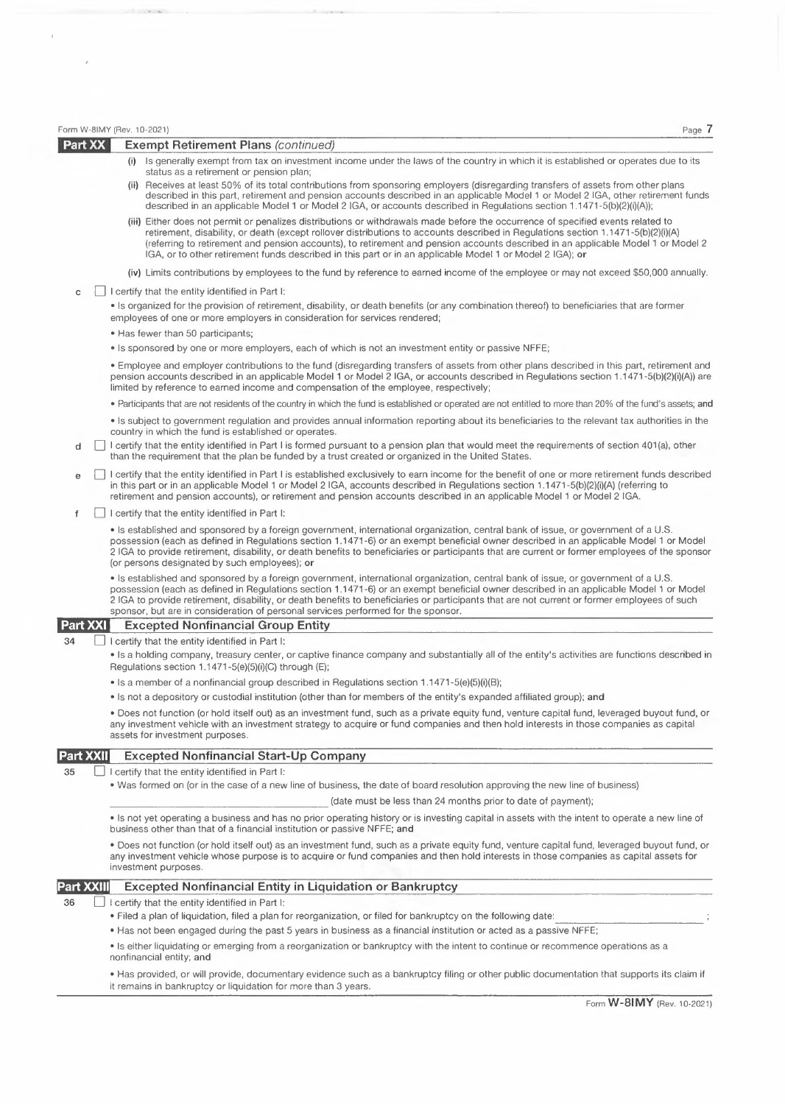|                  |  | Page 7<br>Form W-8IMY (Rev. 10-2021)                                                                                                                                                                                                                                                                                                                                                                                                                                                                                  |
|------------------|--|-----------------------------------------------------------------------------------------------------------------------------------------------------------------------------------------------------------------------------------------------------------------------------------------------------------------------------------------------------------------------------------------------------------------------------------------------------------------------------------------------------------------------|
| Part XX          |  | <b>Exempt Retirement Plans (continued)</b>                                                                                                                                                                                                                                                                                                                                                                                                                                                                            |
|                  |  | (i) Is generally exempt from tax on investment income under the laws of the country in which it is established or operates due to its<br>status as a retirement or pension plan;<br>(ii) Receives at least 50% of its total contributions from sponsoring employers (disregarding transfers of assets from other plans                                                                                                                                                                                                |
|                  |  | described in this part, retirement and pension accounts described in an applicable Model 1 or Model 2 IGA, other retirement funds<br>described in an applicable Model 1 or Model 2 IGA, or accounts described in Regulations section 1.1471-5(b)(2)(i)(A));                                                                                                                                                                                                                                                           |
|                  |  | (iii) Either does not permit or penalizes distributions or withdrawals made before the occurrence of specified events related to<br>retirement, disability, or death (except rollover distributions to accounts described in Regulations section 1.1471-5(b)(2)(i)(A)<br>(referring to retirement and pension accounts), to retirement and pension accounts described in an applicable Model 1 or Model 2<br>IGA, or to other retirement funds described in this part or in an applicable Model 1 or Model 2 IGA); or |
|                  |  | (iv) Limits contributions by employees to the fund by reference to earned income of the employee or may not exceed \$50,000 annually.                                                                                                                                                                                                                                                                                                                                                                                 |
| c                |  | I certify that the entity identified in Part I:                                                                                                                                                                                                                                                                                                                                                                                                                                                                       |
|                  |  | • Is organized for the provision of retirement, disability, or death benefits (or any combination thereof) to beneficiaries that are former<br>employees of one or more employers in consideration for services rendered;                                                                                                                                                                                                                                                                                             |
|                  |  | • Has fewer than 50 participants;                                                                                                                                                                                                                                                                                                                                                                                                                                                                                     |
|                  |  | • Is sponsored by one or more employers, each of which is not an investment entity or passive NFFE;                                                                                                                                                                                                                                                                                                                                                                                                                   |
|                  |  | • Employee and employer contributions to the fund (disregarding transfers of assets from other plans described in this part, retirement and<br>pension accounts described in an applicable Model 1 or Model 2 IGA, or accounts described in Regulations section 1.1471-5(b)(2)(i)(A)) are<br>limited by reference to earned income and compensation of the employee, respectively;                                                                                                                                    |
|                  |  | • Participants that are not residents of the country in which the fund is established or operated are not entitled to more than 20% of the fund's assets; and                                                                                                                                                                                                                                                                                                                                                         |
|                  |  | • Is subject to government regulation and provides annual information reporting about its beneficiaries to the relevant tax authorities in the<br>country in which the fund is established or operates.                                                                                                                                                                                                                                                                                                               |
| d                |  | I certify that the entity identified in Part I is formed pursuant to a pension plan that would meet the requirements of section 401(a), other<br>than the requirement that the plan be funded by a trust created or organized in the United States.                                                                                                                                                                                                                                                                   |
| е                |  | I certify that the entity identified in Part I is established exclusively to earn income for the benefit of one or more retirement funds described<br>in this part or in an applicable Model 1 or Model 2 IGA, accounts described in Requlations section 1.1471-5(b)(2)(i)(A) (referring to<br>retirement and pension accounts), or retirement and pension accounts described in an applicable Model 1 or Model 2 IGA.                                                                                                |
| f                |  | I certify that the entity identified in Part I:                                                                                                                                                                                                                                                                                                                                                                                                                                                                       |
|                  |  | • Is established and sponsored by a foreign government, international organization, central bank of issue, or government of a U.S.<br>possession (each as defined in Requlations section 1.1471-6) or an exempt beneficial owner described in an applicable Model 1 or Model<br>2 IGA to provide retirement, disability, or death benefits to beneficiaries or participants that are current or former employees of the sponsor<br>(or persons designated by such employees), or                                      |
|                  |  | • Is established and sponsored by a foreign government, international organization, central bank of issue, or government of a U.S.<br>possession (each as defined in Regulations section 1.1471-6) or an exempt beneficial owner described in an applicable Model 1 or Model<br>2 IGA to provide retirement, disability, or death benefits to beneficiaries or participants that are not current or former employees of such<br>sponsor, but are in consideration of personal services performed for the sponsor.     |
| <b>Part XXI</b>  |  | <b>Excepted Nonfinancial Group Entity</b>                                                                                                                                                                                                                                                                                                                                                                                                                                                                             |
| 34               |  | I certify that the entity identified in Part I:                                                                                                                                                                                                                                                                                                                                                                                                                                                                       |
|                  |  | • Is a holding company, treasury center, or captive finance company and substantially all of the entity's activities are functions described in<br>Regulations section 1.1471-5(e)(5)(i)(C) through (E);                                                                                                                                                                                                                                                                                                              |
|                  |  | • Is a member of a nonfinancial group described in Regulations section $1.1471 - 5(e)(5)(i)(B)$ ;                                                                                                                                                                                                                                                                                                                                                                                                                     |
|                  |  | • Is not a depository or custodial institution (other than for members of the entity's expanded affiliated group); and                                                                                                                                                                                                                                                                                                                                                                                                |
|                  |  | • Does not function (or hold itself out) as an investment fund, such as a private equity fund, venture capital fund, leveraged buyout fund, or<br>any investment vehicle with an investment strategy to acquire or fund companies and then hold interests in those companies as capital<br>assets for investment purposes.                                                                                                                                                                                            |
| <b>Part XXII</b> |  | <b>Excepted Nonfinancial Start-Up Company</b>                                                                                                                                                                                                                                                                                                                                                                                                                                                                         |
| 35               |  | I certify that the entity identified in Part I:                                                                                                                                                                                                                                                                                                                                                                                                                                                                       |
|                  |  | • Was formed on (or in the case of a new line of business, the date of board resolution approving the new line of business)                                                                                                                                                                                                                                                                                                                                                                                           |
|                  |  | (date must be less than 24 months prior to date of payment);                                                                                                                                                                                                                                                                                                                                                                                                                                                          |
|                  |  | • Is not yet operating a business and has no prior operating history or is investing capital in assets with the intent to operate a new line of<br>business other than that of a financial institution or passive NFFE; and                                                                                                                                                                                                                                                                                           |
|                  |  | • Does not function (or hold itself out) as an investment fund, such as a private equity fund, venture capital fund, leveraged buyout fund, or<br>any investment vehicle whose purpose is to acquire or fund companies and then hold interests in those companies as capital assets for<br>investment purposes.                                                                                                                                                                                                       |
| Part XXIII       |  | <b>Excepted Nonfinancial Entity in Liquidation or Bankruptcy</b>                                                                                                                                                                                                                                                                                                                                                                                                                                                      |
| 36               |  | I certify that the entity identified in Part I:                                                                                                                                                                                                                                                                                                                                                                                                                                                                       |
|                  |  | • Filed a plan of liquidation, filed a plan for reorganization, or filed for bankruptcy on the following date:                                                                                                                                                                                                                                                                                                                                                                                                        |
|                  |  | • Has not been engaged during the past 5 years in business as a financial institution or acted as a passive NFFE;                                                                                                                                                                                                                                                                                                                                                                                                     |
|                  |  | Is either liquidating or emerging from a reorganization or bankruptcy with the intent to continue or recommence operations as a<br>nonfinancial entity; and                                                                                                                                                                                                                                                                                                                                                           |

 $\bar{I}$ 

 $\mathcal{O}(\frac{1}{\epsilon})$ 

• Has provided, or will provide, documentary evidence such as <sup>a</sup> bankruptcy filing or other public documentation that supports its claim if it remains in bankruptcy or liquidation for more than <sup>3</sup> years.